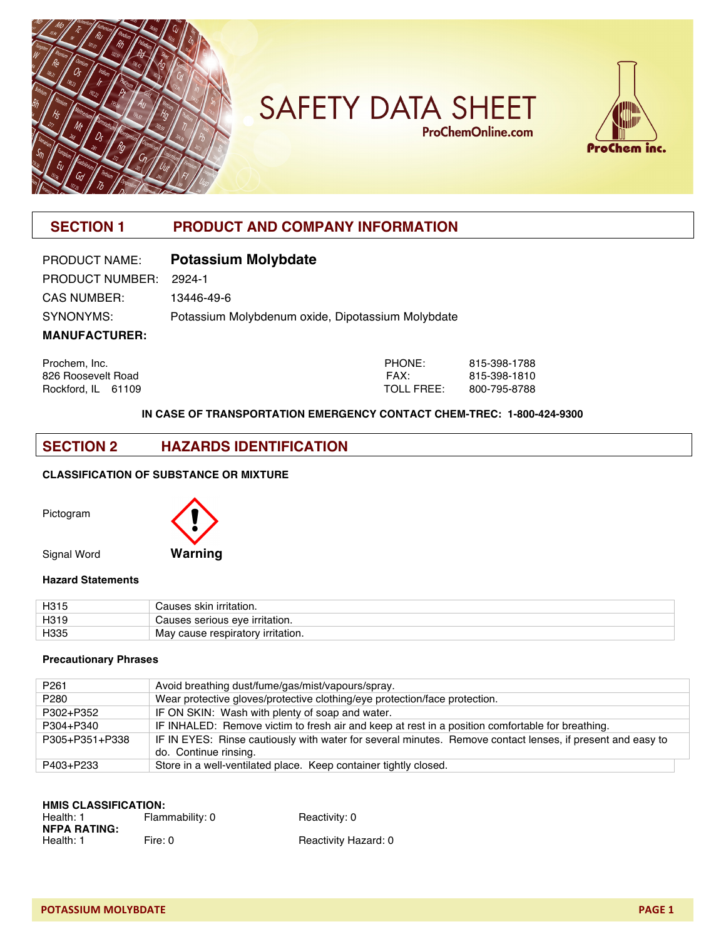

# **SAFETY DATA SHEET ProChemOnline.com**



# **SECTION 1 PRODUCT AND COMPANY INFORMATION**

| PRODUCT NAME:          | <b>Potassium Molybdate</b>                        |
|------------------------|---------------------------------------------------|
| PRODUCT NUMBER: 2924-1 |                                                   |
| <b>CAS NUMBER:</b>     | 13446-49-6                                        |
| SYNONYMS:              | Potassium Molybdenum oxide, Dipotassium Molybdate |
| <b>MANUFACTURER:</b>   |                                                   |

| Prochem, Inc.      | PHONE:     | 815-398-1788 |
|--------------------|------------|--------------|
| 826 Roosevelt Road | FAX:       | 815-398-1810 |
| Rockford, IL 61109 | TOLL FREE: | 800-795-8788 |

#### **IN CASE OF TRANSPORTATION EMERGENCY CONTACT CHEM-TREC: 1-800-424-9300**

# **SECTION 2 HAZARDS IDENTIFICATION**

#### **CLASSIFICATION OF SUBSTANCE OR MIXTURE**

Pictogram



#### **Hazard Statements**

| H <sub>315</sub> | ı irritation.<br>;auses skin      |
|------------------|-----------------------------------|
| H <sub>319</sub> | Causes serious eve irritation.    |
| H335             | May cause respiratory irritation. |

#### **Precautionary Phrases**

| P <sub>261</sub> | Avoid breathing dust/fume/gas/mist/vapours/spray.                                                          |
|------------------|------------------------------------------------------------------------------------------------------------|
| P280             | Wear protective gloves/protective clothing/eye protection/face protection.                                 |
| P302+P352        | IF ON SKIN: Wash with plenty of soap and water.                                                            |
| P304+P340        | IF INHALED: Remove victim to fresh air and keep at rest in a position comfortable for breathing.           |
| P305+P351+P338   | IF IN EYES: Rinse cautiously with water for several minutes. Remove contact lenses, if present and easy to |
|                  | do. Continue rinsing.                                                                                      |
| P403+P233        | Store in a well-ventilated place. Keep container tightly closed.                                           |

| <b>HMIS CLASSIFICATION:</b> |                 |                      |  |  |
|-----------------------------|-----------------|----------------------|--|--|
| Health: 1                   | Flammability: 0 | Reactivity: 0        |  |  |
| <b>NFPA RATING:</b>         |                 |                      |  |  |
| Health: 1                   | Fire: 0         | Reactivity Hazard: 0 |  |  |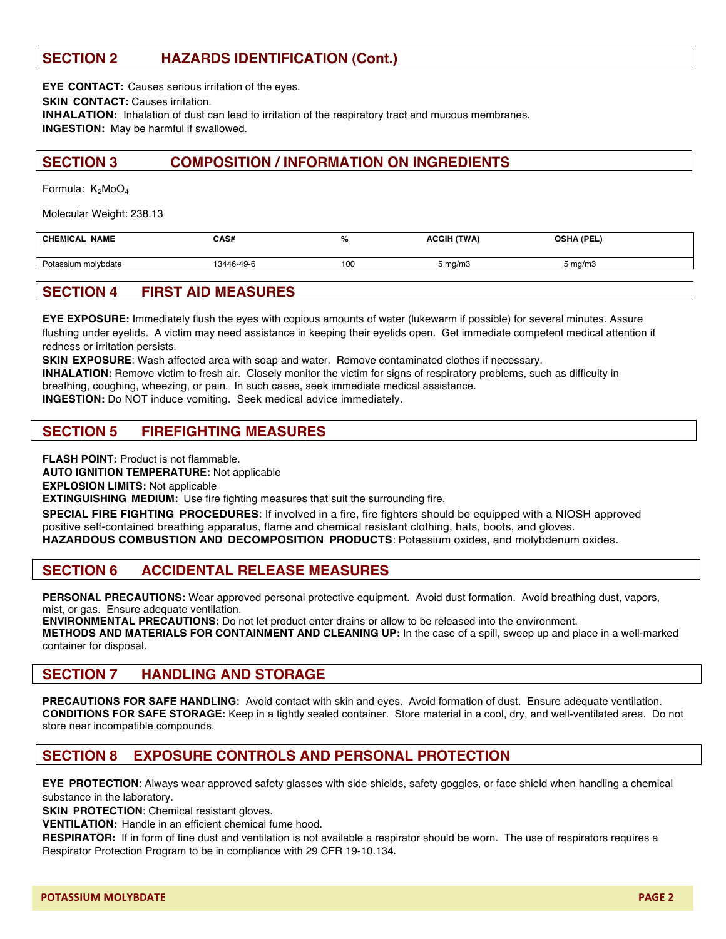# **SECTION 2 HAZARDS IDENTIFICATION (Cont.)**

**EYE CONTACT:** Causes serious irritation of the eyes.

**SKIN CONTACT:** Causes irritation.

**INHALATION:** Inhalation of dust can lead to irritation of the respiratory tract and mucous membranes. **INGESTION:** May be harmful if swallowed.

# **SECTION 3 COMPOSITION / INFORMATION ON INGREDIENTS**

Formula:  $K_2MOQ_4$ 

Molecular Weight: 238.13

| <b>CHEMICAL NAME</b> | CAS#       |     | <b>ACGIH (TWA)</b> | <b>OSHA (PEL)</b> |  |
|----------------------|------------|-----|--------------------|-------------------|--|
| Potassium molybdate  | 13446-49-6 | 100 | i ma/m3            | 5 ma/m3           |  |
|                      |            |     |                    |                   |  |

# **SECTION 4 FIRST AID MEASURES**

**EYE EXPOSURE:** Immediately flush the eyes with copious amounts of water (lukewarm if possible) for several minutes. Assure flushing under eyelids. A victim may need assistance in keeping their eyelids open. Get immediate competent medical attention if redness or irritation persists.

**SKIN EXPOSURE**: Wash affected area with soap and water. Remove contaminated clothes if necessary.

**INHALATION:** Remove victim to fresh air. Closely monitor the victim for signs of respiratory problems, such as difficulty in breathing, coughing, wheezing, or pain. In such cases, seek immediate medical assistance.

**INGESTION:** Do NOT induce vomiting. Seek medical advice immediately.

# **SECTION 5 FIREFIGHTING MEASURES**

**FLASH POINT: Product is not flammable.** 

**AUTO IGNITION TEMPERATURE:** Not applicable

**EXPLOSION LIMITS:** Not applicable

**EXTINGUISHING MEDIUM:** Use fire fighting measures that suit the surrounding fire.

**SPECIAL FIRE FIGHTING PROCEDURES**: If involved in a fire, fire fighters should be equipped with a NIOSH approved positive self-contained breathing apparatus, flame and chemical resistant clothing, hats, boots, and gloves. **HAZARDOUS COMBUSTION AND DECOMPOSITION PRODUCTS**: Potassium oxides, and molybdenum oxides.

#### **SECTION 6 ACCIDENTAL RELEASE MEASURES**

**PERSONAL PRECAUTIONS:** Wear approved personal protective equipment. Avoid dust formation. Avoid breathing dust, vapors, mist, or gas. Ensure adequate ventilation.

**ENVIRONMENTAL PRECAUTIONS:** Do not let product enter drains or allow to be released into the environment. **METHODS AND MATERIALS FOR CONTAINMENT AND CLEANING UP:** In the case of a spill, sweep up and place in a well-marked container for disposal.

#### **SECTION 7 HANDLING AND STORAGE**

**PRECAUTIONS FOR SAFE HANDLING:** Avoid contact with skin and eyes. Avoid formation of dust. Ensure adequate ventilation. **CONDITIONS FOR SAFE STORAGE:** Keep in a tightly sealed container. Store material in a cool, dry, and well-ventilated area. Do not store near incompatible compounds.

# **SECTION 8 EXPOSURE CONTROLS AND PERSONAL PROTECTION**

**EYE PROTECTION**: Always wear approved safety glasses with side shields, safety goggles, or face shield when handling a chemical substance in the laboratory.

**SKIN PROTECTION**: Chemical resistant gloves.

**VENTILATION:** Handle in an efficient chemical fume hood.

**RESPIRATOR:** If in form of fine dust and ventilation is not available a respirator should be worn. The use of respirators requires a Respirator Protection Program to be in compliance with 29 CFR 19-10.134.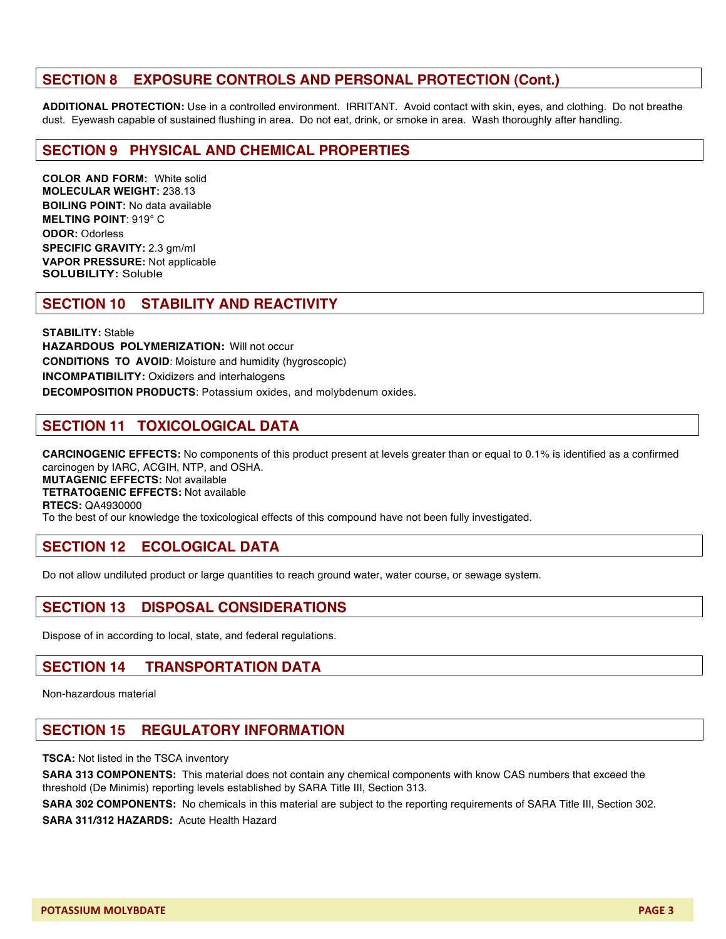# **SECTION 8 EXPOSURE CONTROLS AND PERSONAL PROTECTION (Cont.)**

**ADDITIONAL PROTECTION:** Use in a controlled environment. IRRITANT. Avoid contact with skin, eyes, and clothing. Do not breathe dust. Eyewash capable of sustained flushing in area. Do not eat, drink, or smoke in area. Wash thoroughly after handling.

#### **SECTION 9 PHYSICAL AND CHEMICAL PROPERTIES**

**COLOR AND FORM:** White solid **MOLECULAR WEIGHT:** 238.13 **BOILING POINT:** No data available **MELTING POINT**: 919° C **ODOR:** Odorless **SPECIFIC GRAVITY:** 2.3 gm/ml **VAPOR PRESSURE:** Not applicable **SOLUBILITY:** Soluble

#### **SECTION 10 STABILITY AND REACTIVITY**

**STABILITY:** Stable **HAZARDOUS POLYMERIZATION:** Will not occur **CONDITIONS TO AVOID**: Moisture and humidity (hygroscopic) **INCOMPATIBILITY:** Oxidizers and interhalogens **DECOMPOSITION PRODUCTS**: Potassium oxides, and molybdenum oxides.

# **SECTION 11 TOXICOLOGICAL DATA**

**CARCINOGENIC EFFECTS:** No components of this product present at levels greater than or equal to 0.1% is identified as a confirmed carcinogen by IARC, ACGIH, NTP, and OSHA. **MUTAGENIC EFFECTS:** Not available **TETRATOGENIC EFFECTS:** Not available **RTECS:** QA4930000 To the best of our knowledge the toxicological effects of this compound have not been fully investigated.

# **SECTION 12 ECOLOGICAL DATA**

Do not allow undiluted product or large quantities to reach ground water, water course, or sewage system.

# **SECTION 13 DISPOSAL CONSIDERATIONS**

Dispose of in according to local, state, and federal regulations.

#### **SECTION 14 TRANSPORTATION DATA**

Non-hazardous material

#### **SECTION 15 REGULATORY INFORMATION**

**TSCA:** Not listed in the TSCA inventory

**SARA 313 COMPONENTS:** This material does not contain any chemical components with know CAS numbers that exceed the threshold (De Minimis) reporting levels established by SARA Title III, Section 313.

**SARA 302 COMPONENTS:** No chemicals in this material are subject to the reporting requirements of SARA Title III, Section 302. **SARA 311/312 HAZARDS:** Acute Health Hazard